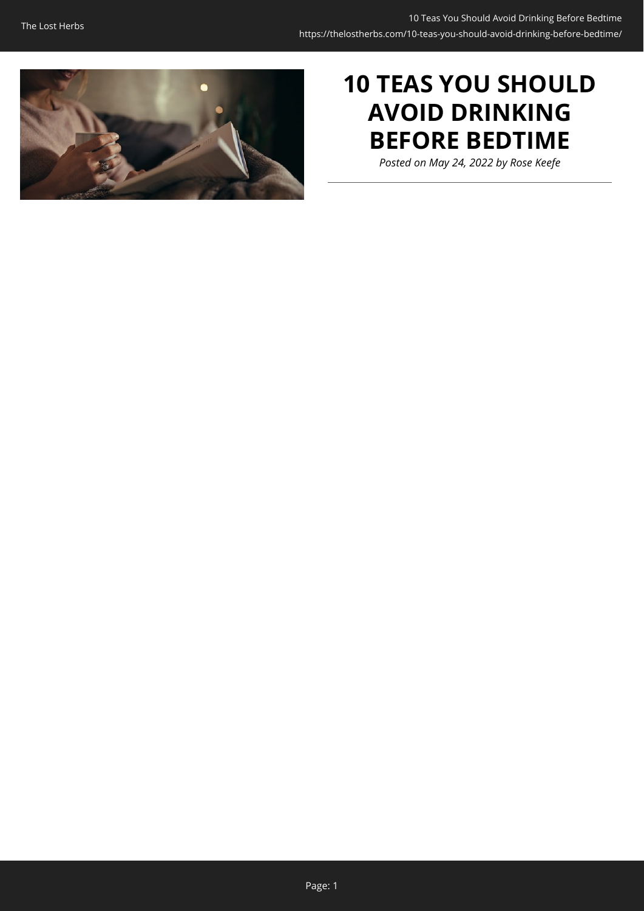

# **10 TEAS YOU SHOULD AVOID DRINKING BEFORE BEDTIME**

*Posted on May 24, 2022 by Rose Keefe*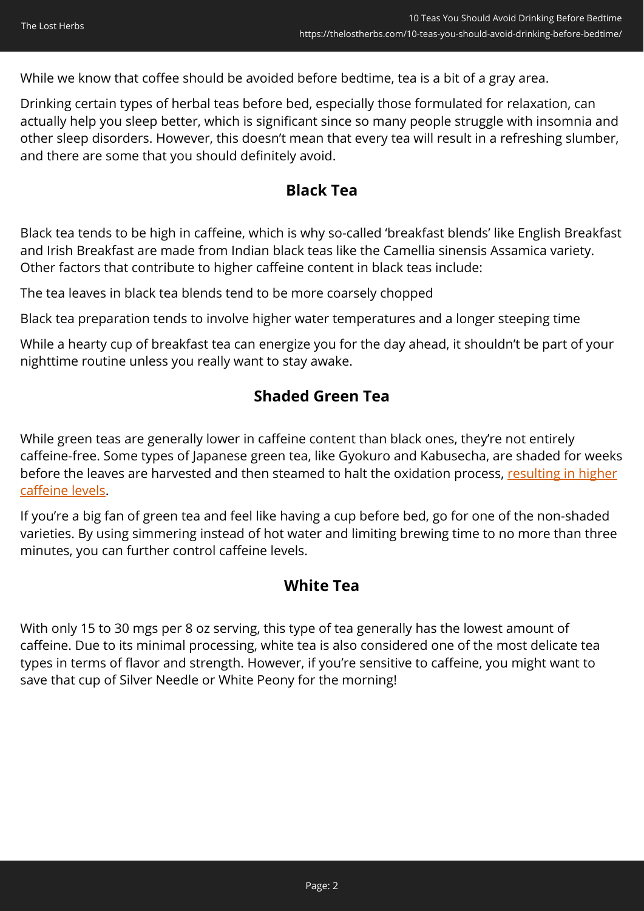While we know that coffee should be avoided before bedtime, tea is a bit of a gray area.

Drinking certain types of herbal teas before bed, especially those formulated for relaxation, can actually help you sleep better, which is significant since so many people struggle with insomnia and other sleep disorders. However, this doesn't mean that every tea will result in a refreshing slumber, and there are some that you should definitely avoid.

### **Black Tea**

Black tea tends to be high in caffeine, which is why so-called 'breakfast blends' like English Breakfast and Irish Breakfast are made from Indian black teas like the Camellia sinensis Assamica variety. Other factors that contribute to higher caffeine content in black teas include:

The tea leaves in black tea blends tend to be more coarsely chopped

Black tea preparation tends to involve higher water temperatures and a longer steeping time

While a hearty cup of breakfast tea can energize you for the day ahead, it shouldn't be part of your nighttime routine unless you really want to stay awake.

## **Shaded Green Tea**

While green teas are generally lower in caffeine content than black ones, they're not entirely caffeine-free. Some types of Japanese green tea, like Gyokuro and Kabusecha, are shaded for weeks before the leaves are harvested and then steamed to halt the oxidation process, [resulting in higher](https://www.sugimotousa.com/blog/caffeine-in-green-tea#:~:text=Shaded%20teas%20like%20Matcha%20and,to%20unshaded%20Japanese%20green%20teas.) [caffeine levels.](https://www.sugimotousa.com/blog/caffeine-in-green-tea#:~:text=Shaded%20teas%20like%20Matcha%20and,to%20unshaded%20Japanese%20green%20teas.)

If you're a big fan of green tea and feel like having a cup before bed, go for one of the non-shaded varieties. By using simmering instead of hot water and limiting brewing time to no more than three minutes, you can further control caffeine levels.

### **White Tea**

With only 15 to 30 mgs per 8 oz serving, this type of tea generally has the lowest amount of caffeine. Due to its minimal processing, white tea is also considered one of the most delicate tea types in terms of flavor and strength. However, if you're sensitive to caffeine, you might want to save that cup of Silver Needle or White Peony for the morning!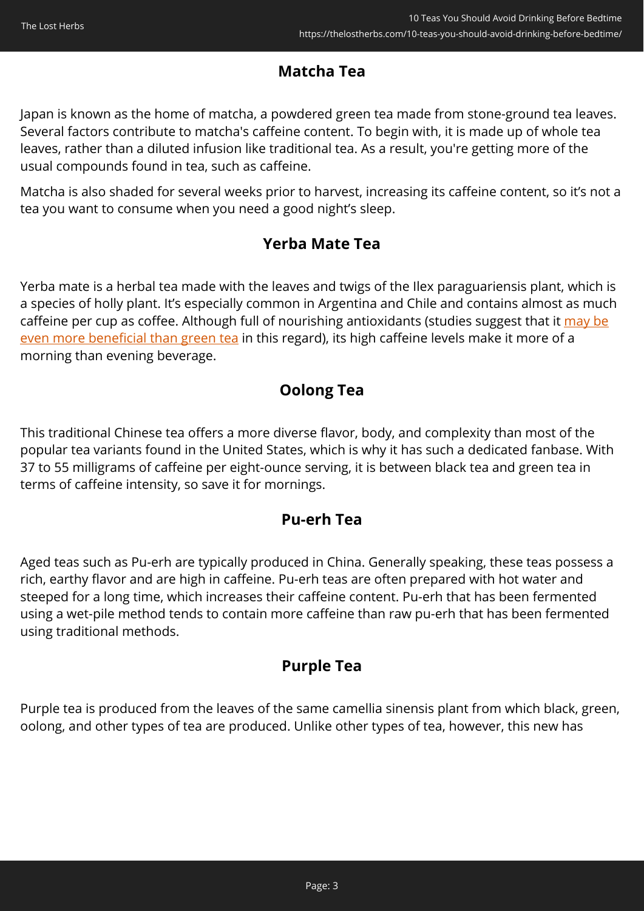## **Matcha Tea**

Japan is known as the home of matcha, a powdered green tea made from stone-ground tea leaves. Several factors contribute to matcha's caffeine content. To begin with, it is made up of whole tea leaves, rather than a diluted infusion like traditional tea. As a result, you're getting more of the usual compounds found in tea, such as caffeine.

Matcha is also shaded for several weeks prior to harvest, increasing its caffeine content, so it's not a tea you want to consume when you need a good night's sleep.

## **Yerba Mate Tea**

Yerba mate is a herbal tea made with the leaves and twigs of the Ilex paraguariensis plant, which is a species of holly plant. It's especially common in Argentina and Chile and contains almost as much caffeine per cup as coffee. Although full of nourishing antioxidants (studies suggest that it [may be](https://pubmed.ncbi.nlm.nih.gov/15161234/) [even more beneficial than green tea](https://pubmed.ncbi.nlm.nih.gov/15161234/) in this regard), its high caffeine levels make it more of a morning than evening beverage.

## **Oolong Tea**

This traditional Chinese tea offers a more diverse flavor, body, and complexity than most of the popular tea variants found in the United States, which is why it has such a dedicated fanbase. With 37 to 55 milligrams of caffeine per eight-ounce serving, it is between black tea and green tea in terms of caffeine intensity, so save it for mornings.

## **Pu-erh Tea**

Aged teas such as Pu-erh are typically produced in China. Generally speaking, these teas possess a rich, earthy flavor and are high in caffeine. Pu-erh teas are often prepared with hot water and steeped for a long time, which increases their caffeine content. Pu-erh that has been fermented using a wet-pile method tends to contain more caffeine than raw pu-erh that has been fermented using traditional methods.

## **Purple Tea**

Purple tea is produced from the leaves of the same camellia sinensis plant from which black, green, oolong, and other types of tea are produced. Unlike other types of tea, however, this new has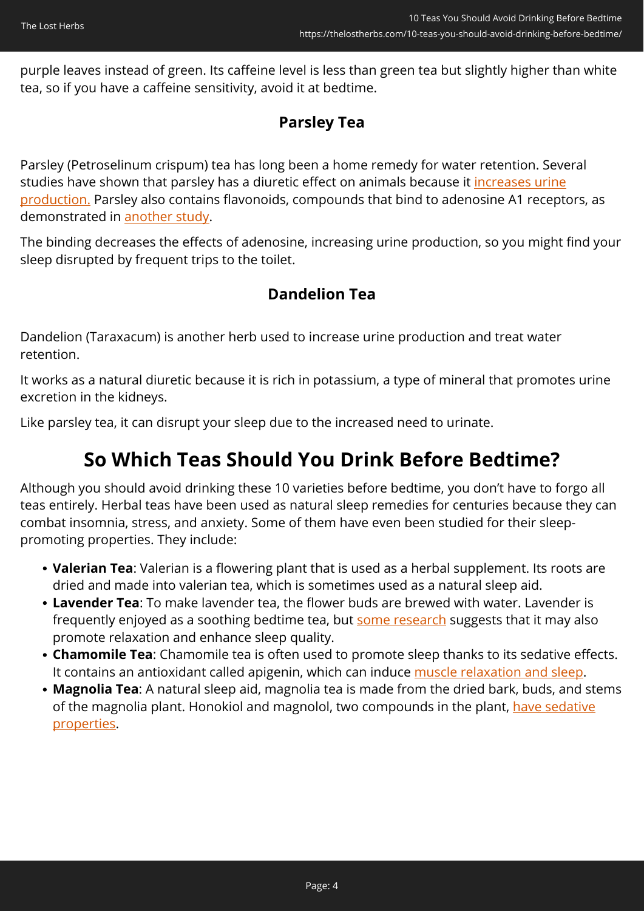purple leaves instead of green. Its caffeine level is less than green tea but slightly higher than white tea, so if you have a caffeine sensitivity, avoid it at bedtime.

## **Parsley Tea**

Parsley (Petroselinum crispum) tea has long been a home remedy for water retention. Several studies have shown that parsley has a diuretic effect on animals because it [increases urine](https://www.ncbi.nlm.nih.gov/pubmed/11849841) [production.](https://www.ncbi.nlm.nih.gov/pubmed/11849841) Parsley also contains flavonoids, compounds that bind to adenosine A1 receptors, as demonstrated in [another study](https://www.ncbi.nlm.nih.gov/pubmed/19137497).

The binding decreases the effects of adenosine, increasing urine production, so you might find your sleep disrupted by frequent trips to the toilet.

## **Dandelion Tea**

Dandelion (Taraxacum) is another herb used to increase urine production and treat water retention.

It works as a natural diuretic because it is rich in potassium, a type of mineral that promotes urine excretion in the kidneys.

Like parsley tea, it can disrupt your sleep due to the increased need to urinate.

# **So Which Teas Should You Drink Before Bedtime?**

Although you should avoid drinking these 10 varieties before bedtime, you don't have to forgo all teas entirely. Herbal teas have been used as natural sleep remedies for centuries because they can combat insomnia, stress, and anxiety. Some of them have even been studied for their sleeppromoting properties. They include:

- **Valerian Tea**: Valerian is a flowering plant that is used as a herbal supplement. Its roots are dried and made into valerian tea, which is sometimes used as a natural sleep aid.
- **Lavender Tea**: To make lavender tea, the flower buds are brewed with water. Lavender is frequently enjoyed as a soothing bedtime tea, but [some research](https://pubmed.ncbi.nlm.nih.gov/26523950/) suggests that it may also promote relaxation and enhance sleep quality.
- **Chamomile Tea**: Chamomile tea is often used to promote sleep thanks to its sedative effects. It contains an antioxidant called apigenin, which can induce [muscle relaxation and sleep](https://www.ncbi.nlm.nih.gov/pmc/articles/PMC6472148/).
- **Magnolia Tea**: A natural sleep aid, magnolia tea is made from the dried bark, buds, and stems of the magnolia plant. Honokiol and magnolol, two compounds in the plant, [have sedative](https://pubmed.ncbi.nlm.nih.gov/29925102/) [properties.](https://pubmed.ncbi.nlm.nih.gov/29925102/)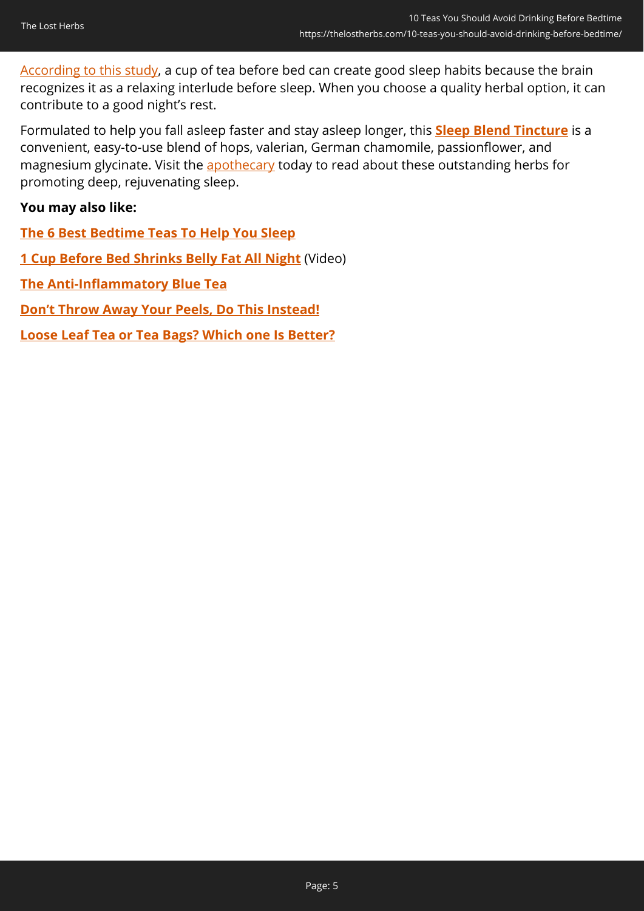[According to this study](https://www.ncbi.nlm.nih.gov/pmc/articles/PMC6715137/), a cup of tea before bed can create good sleep habits because the brain recognizes it as a relaxing interlude before sleep. When you choose a quality herbal option, it can contribute to a good night's rest.

Formulated to help you fall asleep faster and stay asleep longer, this **[Sleep Blend Tincture](https://nicolesapothecary.com/products/sleep-blend-support?rfsn=5642246.05c3d29&utm_source=refersion&utm_medium=affiliate&utm_campaign=5642246.05c3d29&subid=C02BedtimeteasSS)** is a convenient, easy-to-use blend of hops, valerian, German chamomile, passionflower, and magnesium glycinate. Visit the [apothecary](https://nicolesapothecary.com/products/sleep-blend-support?rfsn=5642246.05c3d29&utm_source=refersion&utm_medium=affiliate&utm_campaign=5642246.05c3d29&subid=C02BedtimeteasSS) today to read about these outstanding herbs for promoting deep, rejuvenating sleep.

#### **You may also like:**

**[The 6 Best Bedtime Teas To Help You Sleep](https://thelostherbs.com/the-6-best-bedtime-teas-to-help-you-sleep/)**

**[1 Cup Before Bed Shrinks Belly Fat All Night](https://hop.clickbank.net/?affiliate=easycellar&vendor=alphasupps&tid=C02BedtimeteasORG)** (Video)

**[The Anti-Inflammatory Blue Tea](https://thelostherbs.com/the-anti-inflammatory-blue-tea/)**

**[Don't Throw Away Your Peels, Do This Instead!](https://thelostherbs.com/dont-throw-away-your-peels-do-this-instead/)**

**[Loose Leaf Tea or Tea Bags? Which one Is Better?](https://thelostherbs.com/loose-leaf-tea-or-tea-bags-which-one-is-better/)**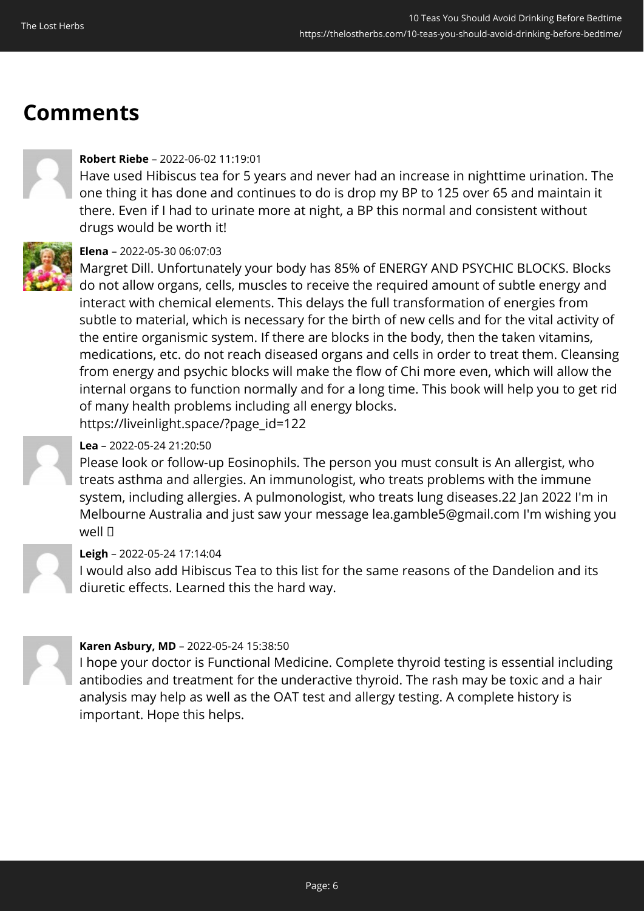# **Comments**



#### **Robert Riebe** – 2022-06-02 11:19:01

Have used Hibiscus tea for 5 years and never had an increase in nighttime urination. The one thing it has done and continues to do is drop my BP to 125 over 65 and maintain it there. Even if I had to urinate more at night, a BP this normal and consistent without drugs would be worth it!



#### **Elena** – 2022-05-30 06:07:03

Margret Dill. Unfortunately your body has 85% of ENERGY AND PSYCHIC BLOCKS. Blocks do not allow organs, cells, muscles to receive the required amount of subtle energy and interact with chemical elements. This delays the full transformation of energies from subtle to material, which is necessary for the birth of new cells and for the vital activity of the entire organismic system. If there are blocks in the body, then the taken vitamins, medications, etc. do not reach diseased organs and cells in order to treat them. Cleansing from energy and psychic blocks will make the flow of Chi more even, which will allow the internal organs to function normally and for a long time. This book will help you to get rid of many health problems including all energy blocks. https://liveinlight.space/?page\_id=122

#### **Lea** – 2022-05-24 21:20:50

Please look or follow-up Eosinophils. The person you must consult is An allergist, who treats asthma and allergies. An immunologist, who treats problems with the immune system, including allergies. A pulmonologist, who treats lung diseases.22 Jan 2022 I'm in Melbourne Australia and just saw your message lea.gamble5@gmail.com I'm wishing you Well <sub>[]</sub>

#### **Leigh** – 2022-05-24 17:14:04

I would also add Hibiscus Tea to this list for the same reasons of the Dandelion and its diuretic effects. Learned this the hard way.



#### **Karen Asbury, MD** – 2022-05-24 15:38:50

I hope your doctor is Functional Medicine. Complete thyroid testing is essential including antibodies and treatment for the underactive thyroid. The rash may be toxic and a hair analysis may help as well as the OAT test and allergy testing. A complete history is important. Hope this helps.